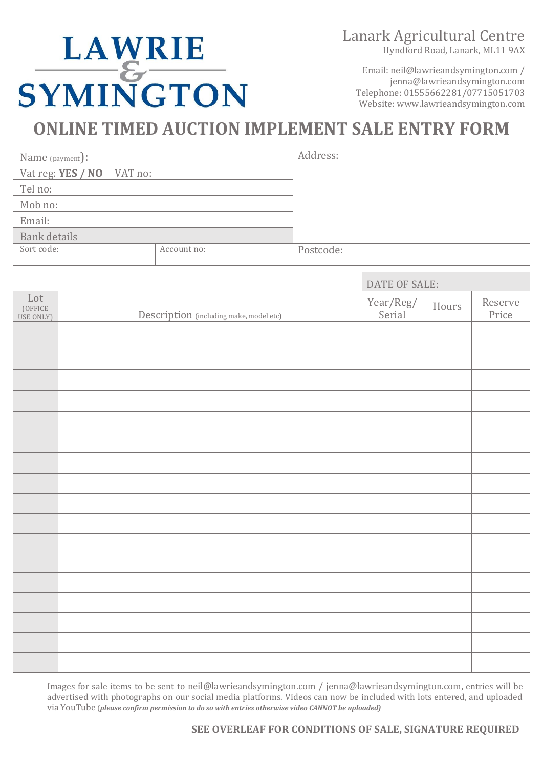## Lanark Agricultural Centre

Hyndford Road, Lanark, ML11 9AX

LAWRIE<br>SYMINGTON

Email: neil@lawrieandsymington.com / jenna@lawrieandsymington.com Telephone: 01555662281/07715051703 Website: www.lawrieandsymington.com

# **ONLINE TIMED AUCTION IMPLEMENT SALE ENTRY FORM**

| Name (payment):   |                         | Address:  |
|-------------------|-------------------------|-----------|
| Vat reg: YES / NO | $\sqrt{\text{VAT}}$ no: |           |
| Tel no:           |                         |           |
| Mob no:           |                         |           |
| Email:            |                         |           |
| Bank details      |                         |           |
| Sort code:        | Account no:             | Postcode: |
|                   |                         |           |

|                             |                                         | DATE OF SALE:       |       |                  |
|-----------------------------|-----------------------------------------|---------------------|-------|------------------|
| Lot<br>(OFFICE<br>USE ONLY) | Description (including make, model etc) | Year/Reg/<br>Serial | Hours | Reserve<br>Price |
|                             |                                         |                     |       |                  |
|                             |                                         |                     |       |                  |
|                             |                                         |                     |       |                  |
|                             |                                         |                     |       |                  |
|                             |                                         |                     |       |                  |
|                             |                                         |                     |       |                  |
|                             |                                         |                     |       |                  |
|                             |                                         |                     |       |                  |
|                             |                                         |                     |       |                  |
|                             |                                         |                     |       |                  |
|                             |                                         |                     |       |                  |
|                             |                                         |                     |       |                  |
|                             |                                         |                     |       |                  |
|                             |                                         |                     |       |                  |
|                             |                                         |                     |       |                  |
|                             |                                         |                     |       |                  |

Images for sale items to be sent to neil@lawrieandsymington.com / jenna@lawrieandsymington.com**,** entries will be advertised with photographs on our social media platforms. Videos can now be included with lots entered, and uploaded via YouTube (*please confirm permission to do so with entries otherwise video CANNOT be uploaded)*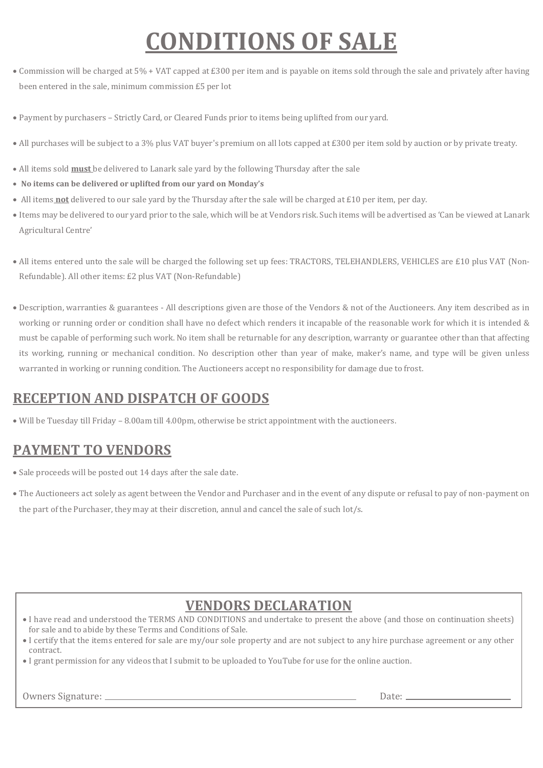# **CONDITIONS OF SALE**

- Commission will be charged at 5% + VAT capped at £300 per item and is payable on items sold through the sale and privately after having been entered in the sale, minimum commission £5 per lot
- Payment by purchasers Strictly Card, or Cleared Funds prior to items being uplifted from our yard.
- All purchases will be subject to a 3% plus VAT buyer's premium on all lots capped at £300 per item sold by auction or by private treaty.
- All items sold **must** be delivered to Lanark sale yard by the following Thursday after the sale
- **No items can be delivered or uplifted from our yard on Monday's**
- All items **not** delivered to our sale yard by the Thursday after the sale will be charged at £10 per item, per day.
- Items may be delivered to our yard prior to the sale, which will be at Vendors risk. Such items will be advertised as 'Can be viewed at Lanark Agricultural Centre'
- All items entered unto the sale will be charged the following set up fees: TRACTORS, TELEHANDLERS, VEHICLES are £10 plus VAT (Non-Refundable). All other items: £2 plus VAT (Non-Refundable)
- Description, warranties & guarantees All descriptions given are those of the Vendors & not of the Auctioneers. Any item described as in working or running order or condition shall have no defect which renders it incapable of the reasonable work for which it is intended & must be capable of performing such work. No item shall be returnable for any description, warranty or guarantee other than that affecting its working, running or mechanical condition. No description other than year of make, maker's name, and type will be given unless warranted in working or running condition. The Auctioneers accept no responsibility for damage due to frost.

#### **RECEPTION AND DISPATCH OF GOODS**

• Will be Tuesday till Friday – 8.00am till 4.00pm, otherwise be strict appointment with the auctioneers.

#### **PAYMENT TO VENDORS**

- Sale proceeds will be posted out 14 days after the sale date.
- The Auctioneers act solely as agent between the Vendor and Purchaser and in the event of any dispute or refusal to pay of non-payment on the part of the Purchaser, they may at their discretion, annul and cancel the sale of such lot/s.

#### **VENDORS DECLARATION**

- I have read and understood the TERMS AND CONDITIONS and undertake to present the above (and those on continuation sheets) for sale and to abide by these Terms and Conditions of Sale.
- I certify that the items entered for sale are my/our sole property and are not subject to any hire purchase agreement or any other contract.
- I grant permission for any videos that I submit to be uploaded to YouTube for use for the online auction.

Owners Signature: Date: